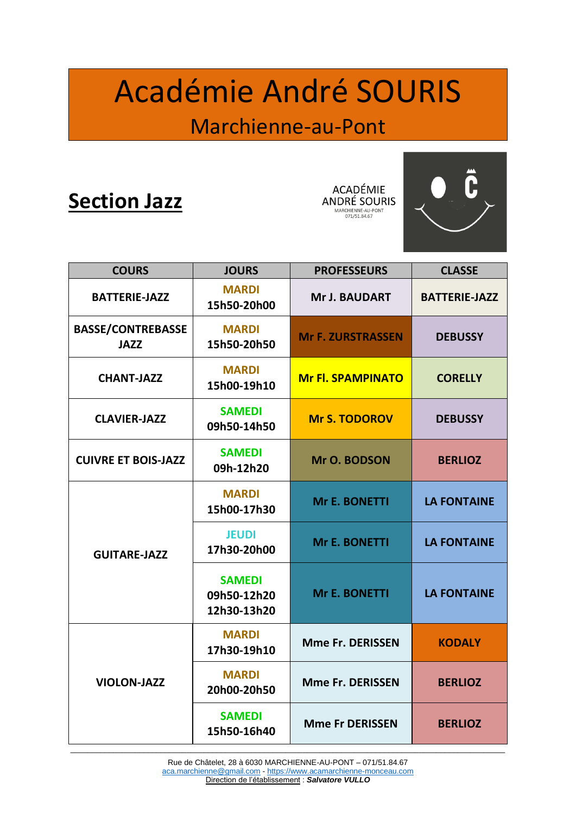# Académie André SOURIS

### Marchienne-au-Pont

## **Section Jazz**

**ACADÉMIE ANDRÉ SOURIS** MARCHIENNE-AU-PONT<br>071/51.84.67



| <b>COURS</b>                            | <b>JOURS</b>                                | <b>PROFESSEURS</b>       | <b>CLASSE</b>        |
|-----------------------------------------|---------------------------------------------|--------------------------|----------------------|
| <b>BATTERIE-JAZZ</b>                    | <b>MARDI</b><br>15h50-20h00                 | <b>Mr J. BAUDART</b>     | <b>BATTERIE-JAZZ</b> |
| <b>BASSE/CONTREBASSE</b><br><b>JAZZ</b> | <b>MARDI</b><br>15h50-20h50                 | <b>Mr F. ZURSTRASSEN</b> | <b>DEBUSSY</b>       |
| <b>CHANT-JAZZ</b>                       | <b>MARDI</b><br>15h00-19h10                 | <b>Mr Fl. SPAMPINATO</b> | <b>CORELLY</b>       |
| <b>CLAVIER-JAZZ</b>                     | <b>SAMEDI</b><br>09h50-14h50                | <b>Mr S. TODOROV</b>     | <b>DEBUSSY</b>       |
| <b>CUIVRE ET BOIS-JAZZ</b>              | <b>SAMEDI</b><br>09h-12h20                  | Mr O. BODSON             | <b>BERLIOZ</b>       |
| <b>GUITARE-JAZZ</b>                     | <b>MARDI</b><br>15h00-17h30                 | <b>Mr E. BONETTI</b>     | <b>LA FONTAINE</b>   |
|                                         | <b>JEUDI</b><br>17h30-20h00                 | <b>Mr E. BONETTI</b>     | <b>LA FONTAINE</b>   |
|                                         | <b>SAMEDI</b><br>09h50-12h20<br>12h30-13h20 | <b>Mr E. BONETTI</b>     | <b>LA FONTAINE</b>   |
| <b>VIOLON-JAZZ</b>                      | <b>MARDI</b><br>17h30-19h10                 | <b>Mme Fr. DERISSEN</b>  | <b>KODALY</b>        |
|                                         | <b>MARDI</b><br>20h00-20h50                 | <b>Mme Fr. DERISSEN</b>  | <b>BERLIOZ</b>       |
|                                         | <b>SAMEDI</b><br>15h50-16h40                | <b>Mme Fr DERISSEN</b>   | <b>BERLIOZ</b>       |

\_\_\_\_\_\_\_\_\_\_\_\_\_\_\_\_\_\_\_\_\_\_\_\_\_\_\_\_\_\_\_\_\_\_\_\_\_\_\_\_\_\_\_\_\_\_\_\_\_\_\_\_\_\_\_\_\_\_\_\_\_\_\_\_\_\_\_\_\_\_\_\_\_\_\_\_\_\_\_\_\_\_\_\_\_\_\_\_\_\_\_\_\_\_\_\_\_\_\_\_\_